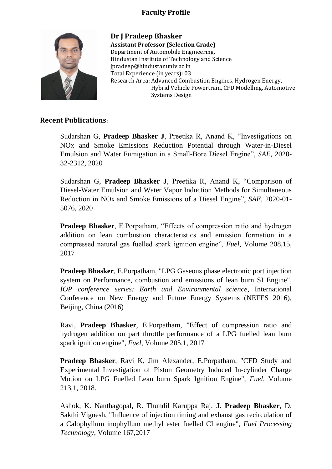## **Faculty Profile**



**Dr J Pradeep Bhasker Assistant Professor (Selection Grade)** Department of Automobile Engineering, Hindustan Institute of Technology and Science jpradeep@hindustanuniv.ac.in Total Experience (in years): 03 Research Area: Advanced Combustion Engines, Hydrogen Energy, Hybrid Vehicle Powertrain, CFD Modelling, Automotive Systems Design

## **Recent Publications:**

Sudarshan G, **Pradeep Bhasker J**, Preetika R, Anand K, "Investigations on NOx and Smoke Emissions Reduction Potential through Water-in-Diesel Emulsion and Water Fumigation in a Small-Bore Diesel Engine", *SAE*, 2020- 32-2312, 2020

Sudarshan G, **Pradeep Bhasker J**, Preetika R, Anand K, ["Comparison of](https://scholar.google.com/citations?view_op=view_citation&hl=en&user=tat7mE8AAAAJ&sortby=pubdate&citation_for_view=tat7mE8AAAAJ:WF5omc3nYNoC)  [Diesel-Water Emulsion and Water Vapor Induction Methods for Simultaneous](https://scholar.google.com/citations?view_op=view_citation&hl=en&user=tat7mE8AAAAJ&sortby=pubdate&citation_for_view=tat7mE8AAAAJ:WF5omc3nYNoC)  Reduction in NOx [and Smoke Emissions of a Diesel Engine"](https://scholar.google.com/citations?view_op=view_citation&hl=en&user=tat7mE8AAAAJ&sortby=pubdate&citation_for_view=tat7mE8AAAAJ:WF5omc3nYNoC), *SAE*, 2020-01- 5076, 2020

**Pradeep Bhasker**, E.Porpatham, "Effects of compression ratio and hydrogen addition on lean combustion characteristics and emission formation in a compressed natural gas fuelled spark ignition engine", *Fuel*, Volume 208,15, 2017

**Pradeep Bhasker**, E.Porpatham, "LPG Gaseous phase electronic port injection system on Performance, combustion and emissions of lean burn SI Engine", *IOP conference series: Earth and Environmental science*, International Conference on New Energy and Future Energy Systems (NEFES 2016), Beijing, China (2016)

Ravi, **Pradeep Bhasker**, E.Porpatham, "Effect of compression ratio and hydrogen addition on part throttle performance of a LPG fuelled lean burn spark ignition engine", *Fuel*, Volume 205,1, 2017

**Pradeep Bhasker**, Ravi K, Jim Alexander, E.Porpatham, "CFD Study and Experimental Investigation of Piston Geometry Induced In-cylinder Charge Motion on LPG Fuelled Lean burn Spark Ignition Engine", *Fuel*, Volume 213,1, 2018.

Ashok, K. Nanthagopal, R. Thundil Karuppa Raj, **J. Pradeep Bhasker**, D. Sakthi Vignesh, "Influence of injection timing and exhaust gas recirculation of a Calophyllum inophyllum methyl ester fuelled CI engine", *Fuel Processing Technology*, Volume 167,2017